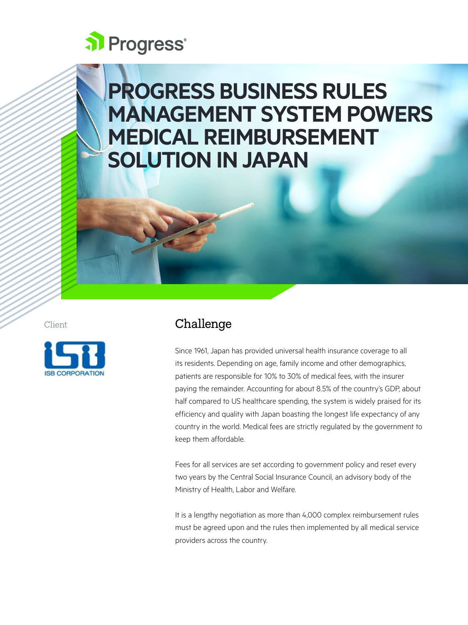# al Progress<sup>®</sup>

# **PROGRESS BUSINESS RULES MANAGEMENT SYSTEM POWERS MEDICAL REIMBURSEMENT SOLUTION IN JAPAN**

Client



# Challenge

Since 1961, Japan has provided universal health insurance coverage to all its residents. Depending on age, family income and other demographics, patients are responsible for 10% to 30% of medical fees, with the insurer paying the remainder. Accounting for about 8.5% of the country's GDP, about half compared to US healthcare spending, the system is widely praised for its efficiency and quality with Japan boasting the longest life expectancy of any country in the world. Medical fees are strictly regulated by the government to keep them affordable.

Fees for all services are set according to government policy and reset every two years by the Central Social Insurance Council, an advisory body of the Ministry of Health, Labor and Welfare.

It is a lengthy negotiation as more than 4,000 complex reimbursement rules must be agreed upon and the rules then implemented by all medical service providers across the country.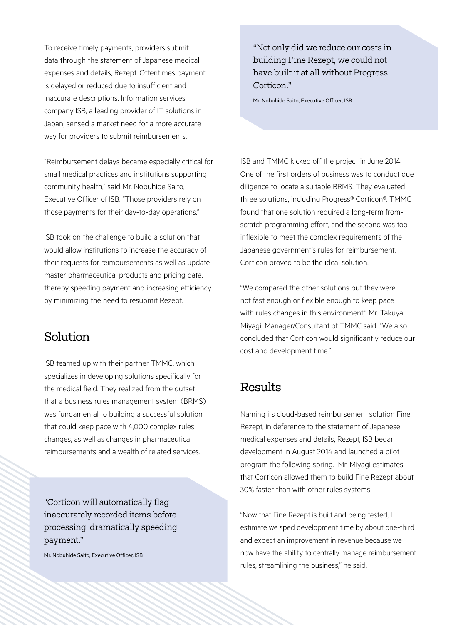To receive timely payments, providers submit data through the statement of Japanese medical expenses and details, Rezept. Oftentimes payment is delayed or reduced due to insufficient and inaccurate descriptions. Information services company ISB, a leading provider of IT solutions in Japan, sensed a market need for a more accurate way for providers to submit reimbursements.

"Reimbursement delays became especially critical for small medical practices and institutions supporting community health," said Mr. Nobuhide Saito, Executive Officer of ISB. "Those providers rely on those payments for their day-to-day operations."

ISB took on the challenge to build a solution that would allow institutions to increase the accuracy of their requests for reimbursements as well as update master pharmaceutical products and pricing data, thereby speeding payment and increasing efficiency by minimizing the need to resubmit Rezept.

## Solution

ISB teamed up with their partner TMMC, which specializes in developing solutions specifically for the medical field. They realized from the outset that a business rules management system (BRMS) was fundamental to building a successful solution that could keep pace with 4,000 complex rules changes, as well as changes in pharmaceutical reimbursements and a wealth of related services.

"Corticon will automatically flag inaccurately recorded items before processing, dramatically speeding payment."

Mr. Nobuhide Saito, Executive Officer, ISB

"Not only did we reduce our costs in building Fine Rezept, we could not have built it at all without Progress Corticon."

Mr. Nobuhide Saito, Executive Officer, ISB

ISB and TMMC kicked off the project in June 2014. One of the first orders of business was to conduct due diligence to locate a suitable BRMS. They evaluated three solutions, including Progress® Corticon®. TMMC found that one solution required a long-term fromscratch programming effort, and the second was too inflexible to meet the complex requirements of the Japanese government's rules for reimbursement. Corticon proved to be the ideal solution.

"We compared the other solutions but they were not fast enough or flexible enough to keep pace with rules changes in this environment," Mr. Takuya Miyagi, Manager/Consultant of TMMC said. "We also concluded that Corticon would significantly reduce our cost and development time."

## Results

Naming its cloud-based reimbursement solution Fine Rezept, in deference to the statement of Japanese medical expenses and details, Rezept, ISB began development in August 2014 and launched a pilot program the following spring. Mr. Miyagi estimates that Corticon allowed them to build Fine Rezept about 30% faster than with other rules systems.

"Now that Fine Rezept is built and being tested, I estimate we sped development time by about one-third and expect an improvement in revenue because we now have the ability to centrally manage reimbursement rules, streamlining the business," he said.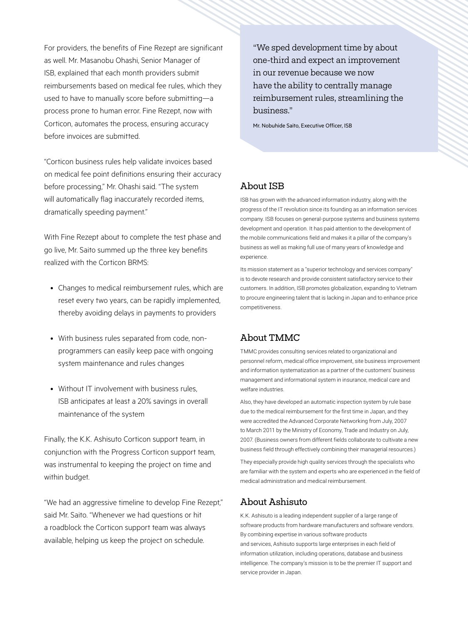For providers, the benefits of Fine Rezept are significant as well. Mr. Masanobu Ohashi, Senior Manager of ISB, explained that each month providers submit reimbursements based on medical fee rules, which they used to have to manually score before submitting—a process prone to human error. Fine Rezept, now with Corticon, automates the process, ensuring accuracy before invoices are submitted.

"Corticon business rules help validate invoices based on medical fee point definitions ensuring their accuracy before processing," Mr. Ohashi said. "The system will automatically flag inaccurately recorded items, dramatically speeding payment."

With Fine Rezept about to complete the test phase and go live, Mr. Saito summed up the three key benefits realized with the Corticon BRMS:

- Changes to medical reimbursement rules, which are reset every two years, can be rapidly implemented, thereby avoiding delays in payments to providers
- With business rules separated from code, nonprogrammers can easily keep pace with ongoing system maintenance and rules changes
- Without IT involvement with business rules ISB anticipates at least a 20% savings in overall maintenance of the system

Finally, the K.K. Ashisuto Corticon support team, in conjunction with the Progress Corticon support team, was instrumental to keeping the project on time and within budget.

"We had an aggressive timeline to develop Fine Rezept," said Mr. Saito. "Whenever we had questions or hit a roadblock the Corticon support team was always available, helping us keep the project on schedule.

"We sped development time by about one-third and expect an improvement in our revenue because we now have the ability to centrally manage reimbursement rules, streamlining the business."

Mr. Nobuhide Saito, Executive Officer, ISB

### About ISB

ISB has grown with the advanced information industry, along with the progress of the IT revolution since its founding as an information services company. ISB focuses on general-purpose systems and business systems development and operation. It has paid attention to the development of the mobile communications field and makes it a pillar of the company's business as well as making full use of many years of knowledge and experience.

Its mission statement as a "superior technology and services company" is to devote research and provide consistent satisfactory service to their customers. In addition, ISB promotes globalization, expanding to Vietnam to procure engineering talent that is lacking in Japan and to enhance price competitiveness.

#### About TMMC

TMMC provides consulting services related to organizational and personnel reform, medical office improvement, site business improvement and information systematization as a partner of the customers' business management and informational system in insurance, medical care and welfare industries.

Also, they have developed an automatic inspection system by rule base due to the medical reimbursement for the first time in Japan, and they were accredited the Advanced Corporate Networking from July, 2007 to March 2011 by the Ministry of Economy, Trade and Industry on July, 2007. (Business owners from different fields collaborate to cultivate a new business field through effectively combining their managerial resources.)

They especially provide high quality services through the specialists who are familiar with the system and experts who are experienced in the field of medical administration and medical reimbursement.

#### About Ashisuto

K.K. Ashisuto is a leading independent supplier of a large range of software products from hardware manufacturers and software vendors. By combining expertise in various software products and services, Ashisuto supports large enterprises in each field of information utilization, including operations, database and business intelligence. The company's mission is to be the premier IT support and service provider in Japan.